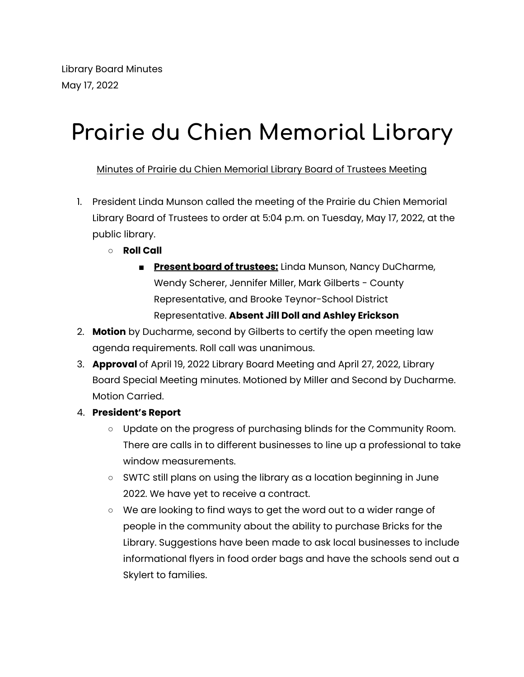## **Prairie du Chien Memorial Library**

Minutes of Prairie du Chien Memorial Library Board of Trustees Meeting

- 1. President Linda Munson called the meeting of the Prairie du Chien Memorial Library Board of Trustees to order at 5:04 p.m. on Tuesday, May 17, 2022, at the public library.
	- **Roll Call**
		- **Present board of trustees:** Linda Munson, Nancy DuCharme, Wendy Scherer, Jennifer Miller, Mark Gilberts - County Representative, and Brooke Teynor-School District Representative. **Absent Jill Doll and Ashley Erickson**
- 2. **Motion** by Ducharme, second by Gilberts to certify the open meeting law agenda requirements. Roll call was unanimous.
- 3. **Approval** of April 19, 2022 Library Board Meeting and April 27, 2022, Library Board Special Meeting minutes. Motioned by Miller and Second by Ducharme. Motion Carried.
- 4. **President's Report**
	- Update on the progress of purchasing blinds for the Community Room. There are calls in to different businesses to line up a professional to take window measurements.
	- SWTC still plans on using the library as a location beginning in June 2022. We have yet to receive a contract.
	- We are looking to find ways to get the word out to a wider range of people in the community about the ability to purchase Bricks for the Library. Suggestions have been made to ask local businesses to include informational flyers in food order bags and have the schools send out a Skylert to families.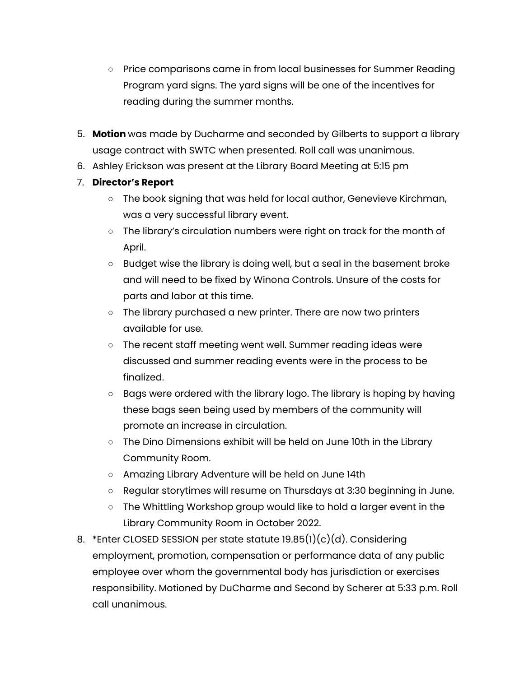- Price comparisons came in from local businesses for Summer Reading Program yard signs. The yard signs will be one of the incentives for reading during the summer months.
- 5. **Motion** was made by Ducharme and seconded by Gilberts to support a library usage contract with SWTC when presented. Roll call was unanimous.
- 6. Ashley Erickson was present at the Library Board Meeting at 5:15 pm
- 7. **Director's Report**
	- The book signing that was held for local author, Genevieve Kirchman, was a very successful library event.
	- The library's circulation numbers were right on track for the month of April.
	- Budget wise the library is doing well, but a seal in the basement broke and will need to be fixed by Winona Controls. Unsure of the costs for parts and labor at this time.
	- The library purchased a new printer. There are now two printers available for use.
	- The recent staff meeting went well. Summer reading ideas were discussed and summer reading events were in the process to be finalized.
	- Bags were ordered with the library logo. The library is hoping by having these bags seen being used by members of the community will promote an increase in circulation.
	- The Dino Dimensions exhibit will be held on June 10th in the Library Community Room.
	- Amazing Library Adventure will be held on June 14th
	- Regular storytimes will resume on Thursdays at 3:30 beginning in June.
	- The Whittling Workshop group would like to hold a larger event in the Library Community Room in October 2022.
- 8. \*Enter CLOSED SESSION per state statute 19.85(1)(c)(d). Considering employment, promotion, compensation or performance data of any public employee over whom the governmental body has jurisdiction or exercises responsibility. Motioned by DuCharme and Second by Scherer at 5:33 p.m. Roll call unanimous.